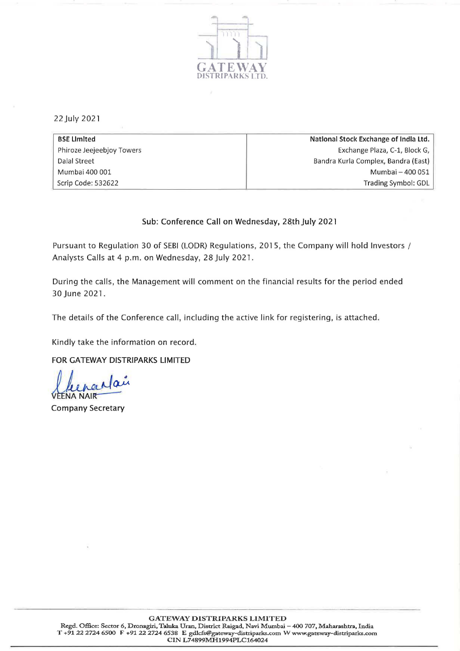

22July 2021

| <b>BSE Limited</b>        | National Stock Exchange of India Ltd. |
|---------------------------|---------------------------------------|
| Phiroze Jeejeebjoy Towers | Exchange Plaza, C-1, Block G,         |
| Dalal Street              | Bandra Kurla Complex, Bandra (East)   |
| Mumbai 400 001            | Mumbai - 400 051                      |
| Scrip Code: 532622        | Trading Symbol: GDL                   |

## Sub: Conference Call on Wednesday, 28th July 2021

Pursuant to Regulation 30 of SEBI (LODR) Regulations, 2015, the Company will hold Investors / Analysts Calls at 4 p.m. on Wednesday, 28 July 2021.

During the calls, the Management will comment on the financial results for the period ended 30 June 2021.

The details of the Conference call, including the active link for registering, is attached.

Kindly take the information on record.

FOR GATEWAY DISTRIPARKS LIMITED

Chenardan

Company Secretary